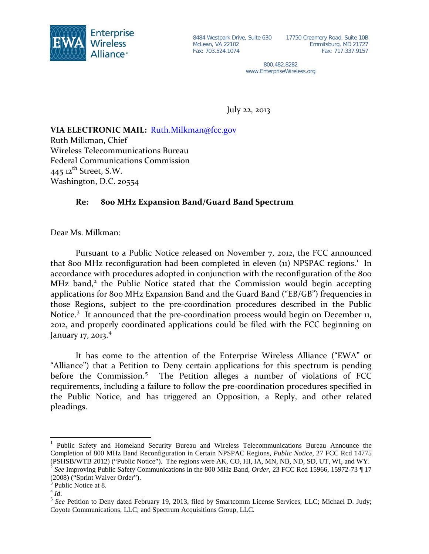

McLean, VA 22102 Fax: 703.524.1074

8484 Westpark Drive, Suite 630 17750 Creamery Road, Suite 10B Emmitsburg, MD 21727 Fax: 717.337.9157

> 800.482.8282 www.EnterpriseWireless.org

July 22, 2013

## **VIA ELECTRONIC MAIL:**  [Ruth.Milkman@fcc.gov](mailto:Ruth.Milkman@fcc.gov)

Ruth Milkman, Chief Wireless Telecommunications Bureau Federal Communications Commission 445  $12$ <sup>th</sup> Street, S.W. Washington, D.C. 20554

## **Re: 800 MHz Expansion Band/Guard Band Spectrum**

Dear Ms. Milkman:

Pursuant to a Public Notice released on November 7, 2012, the FCC announced that 800 MHz reconfiguration had been completed in eleven ([1](#page-0-0)1) NPSPAC regions.<sup>1</sup> In accordance with procedures adopted in conjunction with the reconfiguration of the 800 MHz band,<sup>[2](#page-0-1)</sup> the Public Notice stated that the Commission would begin accepting applications for 800 MHz Expansion Band and the Guard Band ("EB/GB") frequencies in those Regions, subject to the pre-coordination procedures described in the Public Notice.<sup>[3](#page-0-2)</sup> It announced that the pre-coordination process would begin on December 11, 2012, and properly coordinated applications could be filed with the FCC beginning on January 17, 2013.<sup>[4](#page-0-3)</sup>

It has come to the attention of the Enterprise Wireless Alliance ("EWA" or "Alliance") that a Petition to Deny certain applications for this spectrum is pending before the Commission.<sup>[5](#page-0-4)</sup> The Petition alleges a number of violations of FCC requirements, including a failure to follow the pre-coordination procedures specified in the Public Notice, and has triggered an Opposition, a Reply, and other related pleadings.

<span id="page-0-0"></span><sup>&</sup>lt;sup>1</sup> Public Safety and Homeland Security Bureau and Wireless Telecommunications Bureau Announce the Completion of 800 MHz Band Reconfiguration in Certain NPSPAC Regions, *Public Notice*, 27 FCC Rcd 14775 (PSHSB/WTB 2012) ("Public Notice"). The regions were AK, CO, HI, IA, MN, NB, ND, SD, UT, WI, and WY. <sup>2</sup> *See* Improving Public Safety Communications in the 800 MHz Band, *Order*, 23 FCC Rcd 15966, 15972-73 ¶ 17

<span id="page-0-1"></span><sup>(2008) (&</sup>quot;Sprint Waiver Order").

<span id="page-0-2"></span> $\int_{4}^{3}$  Public Notice at 8.

<span id="page-0-3"></span>

<span id="page-0-4"></span><sup>&</sup>lt;sup>5</sup> See Petition to Deny dated February 19, 2013, filed by Smartcomm License Services, LLC; Michael D. Judy; Coyote Communications, LLC; and Spectrum Acquisitions Group, LLC.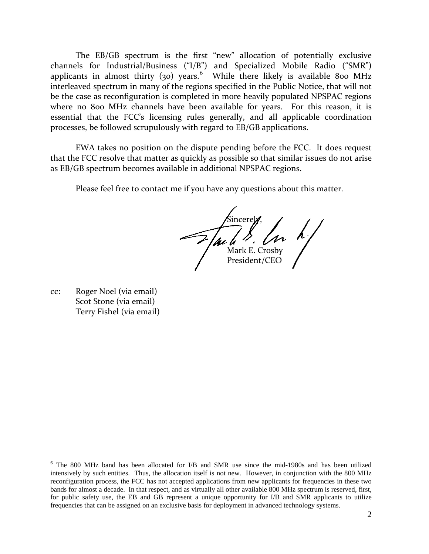The EB/GB spectrum is the first "new" allocation of potentially exclusive channels for Industrial/Business ("I/B") and Specialized Mobile Radio ("SMR") applicants in almost thirty (30) years.<sup>[6](#page-1-0)</sup> While there likely is available 800 MHz interleaved spectrum in many of the regions specified in the Public Notice, that will not be the case as reconfiguration is completed in more heavily populated NPSPAC regions where no 800 MHz channels have been available for years. For this reason, it is essential that the FCC's licensing rules generally, and all applicable coordination processes, be followed scrupulously with regard to EB/GB applications.

EWA takes no position on the dispute pending before the FCC. It does request that the FCC resolve that matter as quickly as possible so that similar issues do not arise as EB/GB spectrum becomes available in additional NPSPAC regions.

Please feel free to contact me if you have any questions about this matter.

Sincerely, Mark E. Crosby President/CEO

cc: Roger Noel (via email) Scot Stone (via email) Terry Fishel (via email)

<span id="page-1-0"></span> <sup>6</sup> The 800 MHz band has been allocated for I/B and SMR use since the mid-1980s and has been utilized intensively by such entities. Thus, the allocation itself is not new. However, in conjunction with the 800 MHz reconfiguration process, the FCC has not accepted applications from new applicants for frequencies in these two bands for almost a decade. In that respect, and as virtually all other available 800 MHz spectrum is reserved, first, for public safety use, the EB and GB represent a unique opportunity for I/B and SMR applicants to utilize frequencies that can be assigned on an exclusive basis for deployment in advanced technology systems.